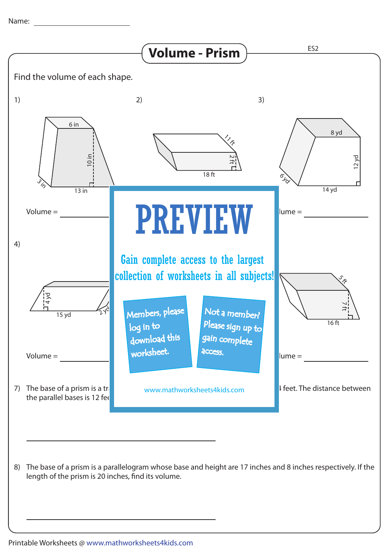